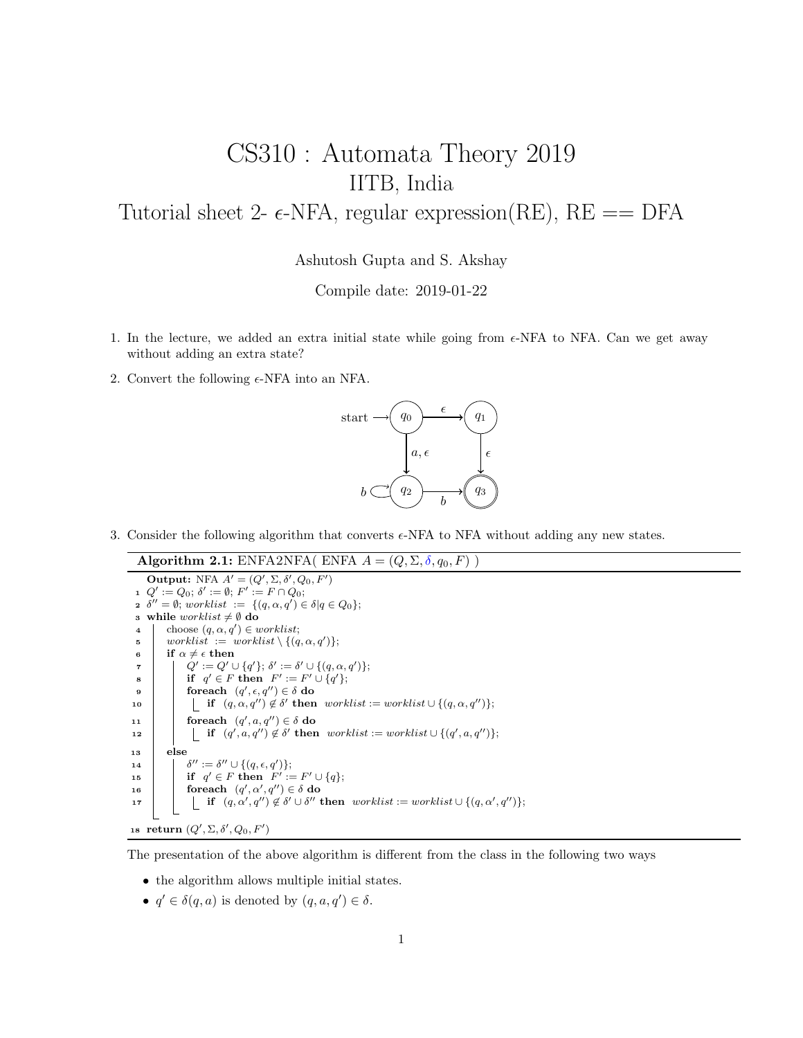## CS310 : Automata Theory 2019 IITB, India Tutorial sheet 2-  $\epsilon$ -NFA, regular expression(RE), RE = DFA

Ashutosh Gupta and S. Akshay

Compile date: 2019-01-22

- 1. In the lecture, we added an extra initial state while going from  $\epsilon$ -NFA to NFA. Can we get away without adding an extra state?
- 2. Convert the following  $\epsilon$ -NFA into an NFA.



- 3. Consider the following algorithm that converts  $\epsilon$ -NFA to NFA without adding any new states.
	- Algorithm 2.1: ENFA2NFA( ENFA  $A = (Q, \Sigma, \delta, q_0, F)$ )

**Output:** NFA  $A' = (Q', \Sigma, \delta', Q_0, F')$ 1  $Q' := Q_0$ ;  $\delta' := \emptyset$ ;  $F' := F \cap Q_0$ ;  $\delta'' = \emptyset$ ; worklist :=  $\{(q, \alpha, q') \in \delta | q \in Q_0\};$ 3 while *worklist*  $\neq$   $\emptyset$  do 4 choose  $(q, \alpha, q') \in worklist;$  $\mathfrak{s}$  worklist  $:=$  worklist  $\setminus \{(q, \alpha, q')\};$ 6 if  $\alpha \neq \epsilon$  then  $\begin{array}{ccc} \mathbf{a} & | & | & Q' := Q' \cup \{q'\}; \, \delta' := \delta' \cup \{(q, \alpha, q')\}; \end{array}$  $\mathbf{s}$  | if  $q' \in F$  then  $F' := F' \cup \{q'\};$  $\mathsf{P} \quad | \quad \quad \text{for each} \quad (q', \epsilon, q'') \in \delta \textbf{ do}$  $\texttt{10} \quad | \quad | \quad \text{if} \quad (q,\alpha,q^{\prime\prime}) \not\in \delta' \text{ then } \textit{worklist} := \textit{worklist} \cup \{(q,\alpha,q^{\prime\prime})\};$ 11 | foreach  $(q', a, q'') \in \delta$  do 12 if  $(q', a, q'') \notin \delta'$  then worklist := worklist  $\cup \{(q', a, q'')\};$ <sup>13</sup> else 14  $^{\prime\prime}:=\delta^{\prime\prime}\cup\{(q,\epsilon,q^\prime)\};$ 15 if  $q' \in F$  then  $F' := F' \cup \{q\};$ 16 **for each**  $(q', \alpha', q'') \in \delta$  do 17 if  $(q, \alpha', q'') \notin \delta' \cup \delta''$  then worklist := worklist  $\cup \{(q, \alpha', q'')\};$ 18 return  $(Q', \Sigma, \delta', Q_0, F')$ 

The presentation of the above algorithm is different from the class in the following two ways

- the algorithm allows multiple initial states.
- $q' \in \delta(q, a)$  is denoted by  $(q, a, q') \in \delta$ .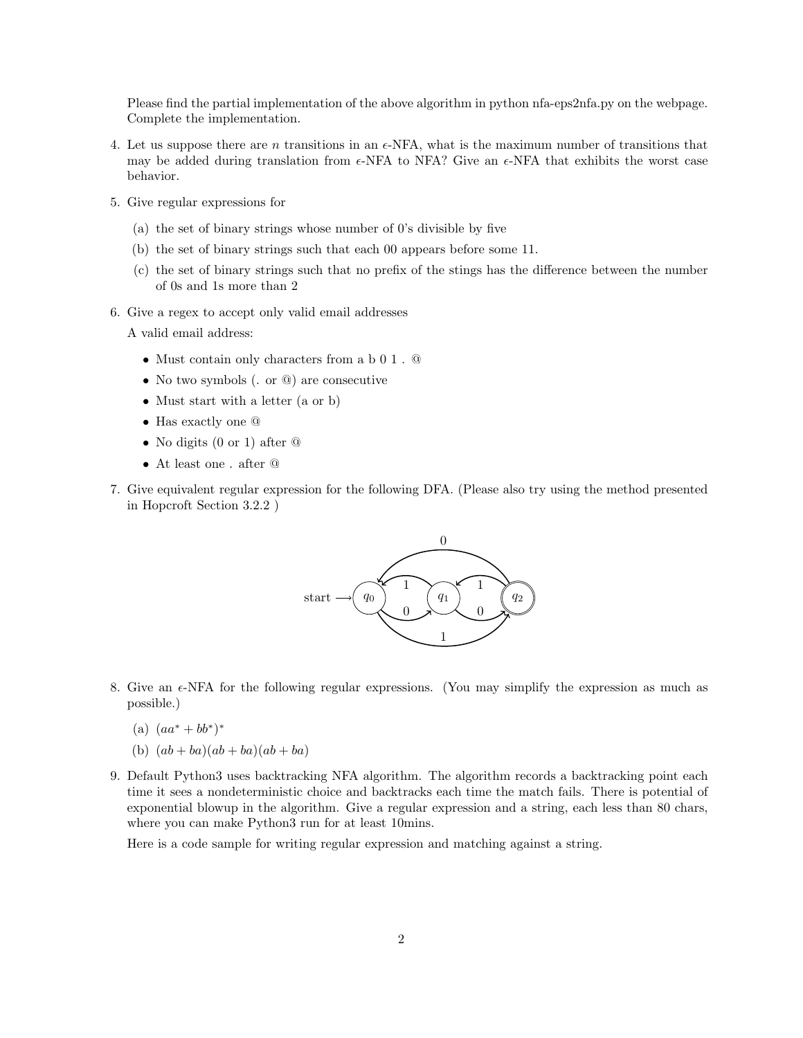Please find the partial implementation of the above algorithm in python nfa-eps2nfa.py on the webpage. Complete the implementation.

- 4. Let us suppose there are n transitions in an  $\epsilon$ -NFA, what is the maximum number of transitions that may be added during translation from  $\epsilon$ -NFA to NFA? Give an  $\epsilon$ -NFA that exhibits the worst case behavior.
- 5. Give regular expressions for
	- (a) the set of binary strings whose number of 0's divisible by five
	- (b) the set of binary strings such that each 00 appears before some 11.
	- (c) the set of binary strings such that no prefix of the stings has the difference between the number of 0s and 1s more than 2
- 6. Give a regex to accept only valid email addresses

A valid email address:

- Must contain only characters from a b 0 1 . @
- No two symbols (. or  $\omega$ ) are consecutive
- Must start with a letter (a or b)
- Has exactly one @
- No digits (0 or 1) after  $\circledcirc$
- At least one . after @
- 7. Give equivalent regular expression for the following DFA. (Please also try using the method presented in Hopcroft Section 3.2.2 )



- 8. Give an  $\epsilon$ -NFA for the following regular expressions. (You may simplify the expression as much as possible.)
	- (a)  $(aa^* + bb^*)^*$
	- (b)  $(ab + ba)(ab + ba)(ab + ba)$
- 9. Default Python3 uses backtracking NFA algorithm. The algorithm records a backtracking point each time it sees a nondeterministic choice and backtracks each time the match fails. There is potential of exponential blowup in the algorithm. Give a regular expression and a string, each less than 80 chars, where you can make Python3 run for at least 10mins.

Here is a code sample for writing regular expression and matching against a string.